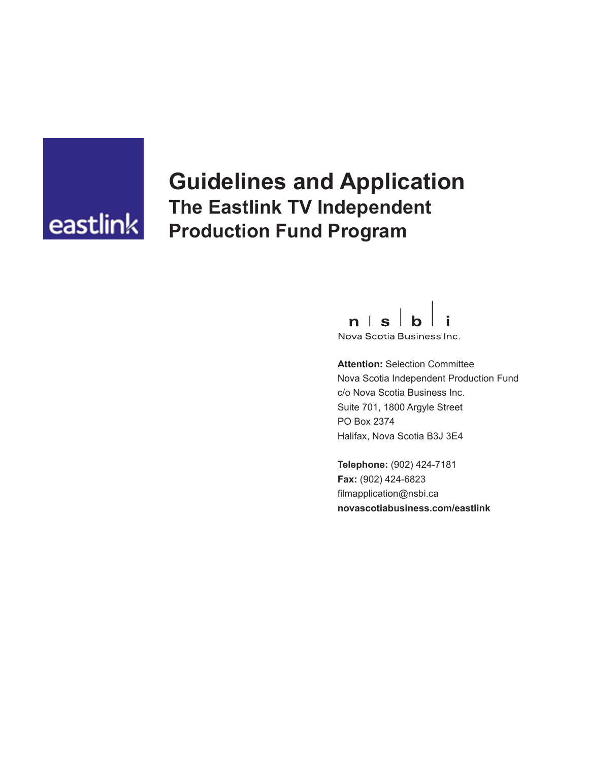

# **Guidelines and Application The Eastlink TV Independent Production Fund Program**



Nova Scotia Business Inc.

**Attention:** Selection Committee Nova Scotia Independent Production Fund c/o Nova Scotia Business Inc. Suite 701, 1800 Argyle Street PO Box 2374 Halifax, Nova Scotia B3J 3E4

**Telephone:** (902) 424-7181 **Fax:** (902) 424-6823 filmapplication@nsbi.ca **novascotiabusiness.com/eastlink**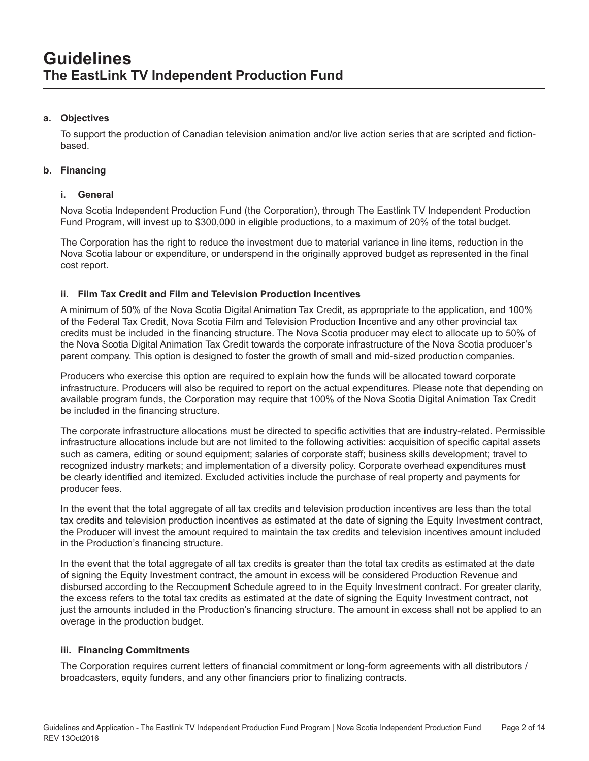#### **a. Objectives**

To support the production of Canadian television animation and/or live action series that are scripted and fictionbased.

#### **b. Financing**

#### **i. General**

Nova Scotia Independent Production Fund (the Corporation), through The Eastlink TV Independent Production Fund Program, will invest up to \$300,000 in eligible productions, to a maximum of 20% of the total budget.

The Corporation has the right to reduce the investment due to material variance in line items, reduction in the Nova Scotia labour or expenditure, or underspend in the originally approved budget as represented in the final cost report.

#### **ii. Film Tax Credit and Film and Television Production Incentives**

A minimum of 50% of the Nova Scotia Digital Animation Tax Credit, as appropriate to the application, and 100% of the Federal Tax Credit, Nova Scotia Film and Television Production Incentive and any other provincial tax credits must be included in the financing structure. The Nova Scotia producer may elect to allocate up to 50% of the Nova Scotia Digital Animation Tax Credit towards the corporate infrastructure of the Nova Scotia producer's parent company. This option is designed to foster the growth of small and mid-sized production companies.

Producers who exercise this option are required to explain how the funds will be allocated toward corporate infrastructure. Producers will also be required to report on the actual expenditures. Please note that depending on available program funds, the Corporation may require that 100% of the Nova Scotia Digital Animation Tax Credit be included in the financing structure.

The corporate infrastructure allocations must be directed to specific activities that are industry-related. Permissible infrastructure allocations include but are not limited to the following activities: acquisition of specific capital assets such as camera, editing or sound equipment; salaries of corporate staff; business skills development; travel to recognized industry markets; and implementation of a diversity policy. Corporate overhead expenditures must be clearly identified and itemized. Excluded activities include the purchase of real property and payments for producer fees.

In the event that the total aggregate of all tax credits and television production incentives are less than the total tax credits and television production incentives as estimated at the date of signing the Equity Investment contract, the Producer will invest the amount required to maintain the tax credits and television incentives amount included in the Production's financing structure.

In the event that the total aggregate of all tax credits is greater than the total tax credits as estimated at the date of signing the Equity Investment contract, the amount in excess will be considered Production Revenue and disbursed according to the Recoupment Schedule agreed to in the Equity Investment contract. For greater clarity, the excess refers to the total tax credits as estimated at the date of signing the Equity Investment contract, not just the amounts included in the Production's financing structure. The amount in excess shall not be applied to an overage in the production budget.

#### **iii. Financing Commitments**

The Corporation requires current letters of financial commitment or long-form agreements with all distributors / broadcasters, equity funders, and any other financiers prior to finalizing contracts.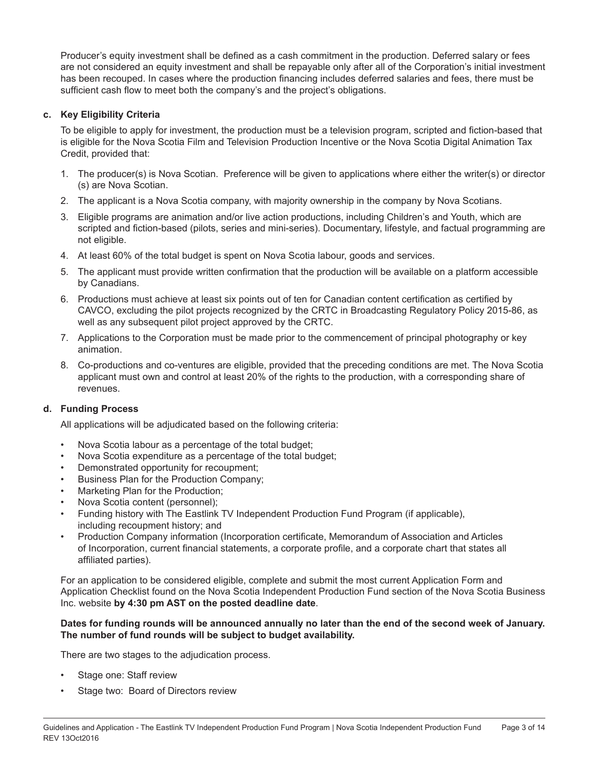Producer's equity investment shall be defined as a cash commitment in the production. Deferred salary or fees are not considered an equity investment and shall be repayable only after all of the Corporation's initial investment has been recouped. In cases where the production financing includes deferred salaries and fees, there must be sufficient cash flow to meet both the company's and the project's obligations.

### **c. Key Eligibility Criteria**

To be eligible to apply for investment, the production must be a television program, scripted and fiction-based that is eligible for the Nova Scotia Film and Television Production Incentive or the Nova Scotia Digital Animation Tax Credit, provided that:

- 1. The producer(s) is Nova Scotian. Preference will be given to applications where either the writer(s) or director (s) are Nova Scotian.
- 2. The applicant is a Nova Scotia company, with majority ownership in the company by Nova Scotians.
- 3. Eligible programs are animation and/or live action productions, including Children's and Youth, which are scripted and fiction-based (pilots, series and mini-series). Documentary, lifestyle, and factual programming are not eligible.
- 4. At least 60% of the total budget is spent on Nova Scotia labour, goods and services.
- 5. The applicant must provide written confirmation that the production will be available on a platform accessible by Canadians.
- 6. Productions must achieve at least six points out of ten for Canadian content certification as certified by CAVCO, excluding the pilot projects recognized by the CRTC in Broadcasting Regulatory Policy 2015-86, as well as any subsequent pilot project approved by the CRTC.
- 7. Applications to the Corporation must be made prior to the commencement of principal photography or key animation.
- 8. Co-productions and co-ventures are eligible, provided that the preceding conditions are met. The Nova Scotia applicant must own and control at least 20% of the rights to the production, with a corresponding share of revenues.

# **d. Funding Process**

All applications will be adjudicated based on the following criteria:

- Nova Scotia labour as a percentage of the total budget;
- Nova Scotia expenditure as a percentage of the total budget;
- Demonstrated opportunity for recoupment;
- Business Plan for the Production Company;
- Marketing Plan for the Production;
- Nova Scotia content (personnel);
- Funding history with The Eastlink TV Independent Production Fund Program (if applicable), including recoupment history; and
- Production Company information (Incorporation certificate, Memorandum of Association and Articles of Incorporation, current financial statements, a corporate profile, and a corporate chart that states all affiliated parties).

For an application to be considered eligible, complete and submit the most current Application Form and Application Checklist found on the Nova Scotia Independent Production Fund section of the Nova Scotia Business Inc. website **by 4:30 pm AST on the posted deadline date**.

#### **Dates for funding rounds will be announced annually no later than the end of the second week of January. The number of fund rounds will be subject to budget availability.**

There are two stages to the adjudication process.

- Stage one: Staff review
- Stage two: Board of Directors review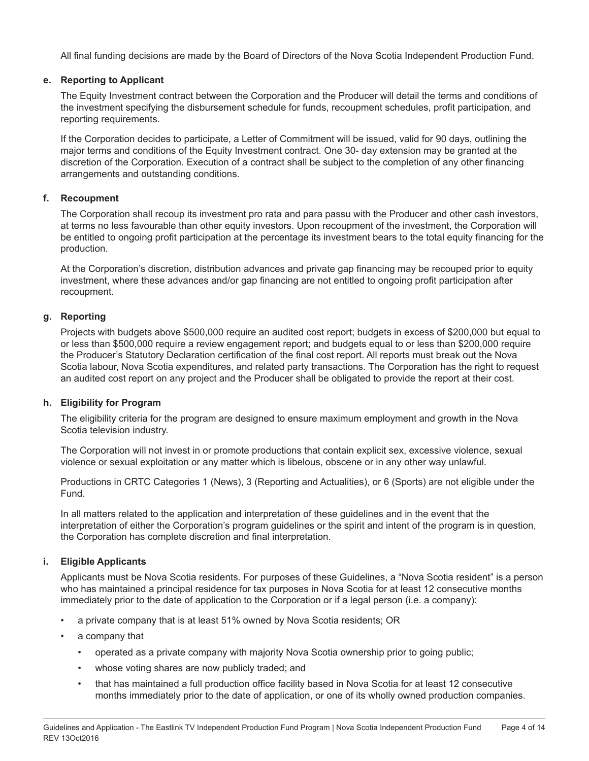All final funding decisions are made by the Board of Directors of the Nova Scotia Independent Production Fund.

## **e. Reporting to Applicant**

The Equity Investment contract between the Corporation and the Producer will detail the terms and conditions of the investment specifying the disbursement schedule for funds, recoupment schedules, profit participation, and reporting requirements.

If the Corporation decides to participate, a Letter of Commitment will be issued, valid for 90 days, outlining the major terms and conditions of the Equity Investment contract. One 30- day extension may be granted at the discretion of the Corporation. Execution of a contract shall be subject to the completion of any other financing arrangements and outstanding conditions.

## **f. Recoupment**

The Corporation shall recoup its investment pro rata and para passu with the Producer and other cash investors, at terms no less favourable than other equity investors. Upon recoupment of the investment, the Corporation will be entitled to ongoing profit participation at the percentage its investment bears to the total equity financing for the production.

At the Corporation's discretion, distribution advances and private gap financing may be recouped prior to equity investment, where these advances and/or gap financing are not entitled to ongoing profit participation after recoupment.

#### **g. Reporting**

Projects with budgets above \$500,000 require an audited cost report; budgets in excess of \$200,000 but equal to or less than \$500,000 require a review engagement report; and budgets equal to or less than \$200,000 require the Producer's Statutory Declaration certification of the final cost report. All reports must break out the Nova Scotia labour, Nova Scotia expenditures, and related party transactions. The Corporation has the right to request an audited cost report on any project and the Producer shall be obligated to provide the report at their cost.

#### **h. Eligibility for Program**

The eligibility criteria for the program are designed to ensure maximum employment and growth in the Nova Scotia television industry.

The Corporation will not invest in or promote productions that contain explicit sex, excessive violence, sexual violence or sexual exploitation or any matter which is libelous, obscene or in any other way unlawful.

Productions in CRTC Categories 1 (News), 3 (Reporting and Actualities), or 6 (Sports) are not eligible under the Fund.

In all matters related to the application and interpretation of these guidelines and in the event that the interpretation of either the Corporation's program guidelines or the spirit and intent of the program is in question, the Corporation has complete discretion and final interpretation.

#### **i. Eligible Applicants**

Applicants must be Nova Scotia residents. For purposes of these Guidelines, a "Nova Scotia resident" is a person who has maintained a principal residence for tax purposes in Nova Scotia for at least 12 consecutive months immediately prior to the date of application to the Corporation or if a legal person (i.e. a company):

- a private company that is at least 51% owned by Nova Scotia residents; OR
- a company that
	- operated as a private company with majority Nova Scotia ownership prior to going public;
	- whose voting shares are now publicly traded; and
	- that has maintained a full production office facility based in Nova Scotia for at least 12 consecutive months immediately prior to the date of application, or one of its wholly owned production companies.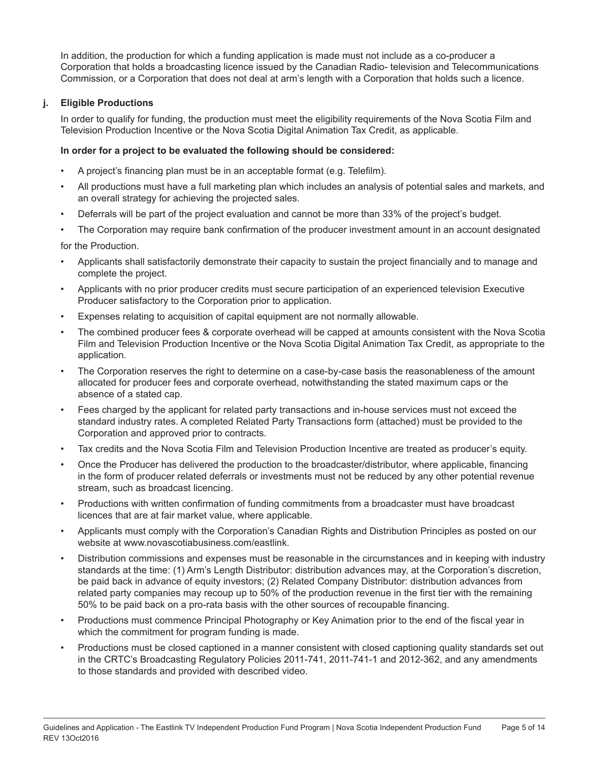In addition, the production for which a funding application is made must not include as a co-producer a Corporation that holds a broadcasting licence issued by the Canadian Radio- television and Telecommunications Commission, or a Corporation that does not deal at arm's length with a Corporation that holds such a licence.

### **j. Eligible Productions**

In order to qualify for funding, the production must meet the eligibility requirements of the Nova Scotia Film and Television Production Incentive or the Nova Scotia Digital Animation Tax Credit, as applicable.

#### **In order for a project to be evaluated the following should be considered:**

- A project's financing plan must be in an acceptable format (e.g. Telefilm).
- All productions must have a full marketing plan which includes an analysis of potential sales and markets, and an overall strategy for achieving the projected sales.
- Deferrals will be part of the project evaluation and cannot be more than 33% of the project's budget.
- The Corporation may require bank confirmation of the producer investment amount in an account designated

for the Production.

- Applicants shall satisfactorily demonstrate their capacity to sustain the project financially and to manage and complete the project.
- Applicants with no prior producer credits must secure participation of an experienced television Executive Producer satisfactory to the Corporation prior to application.
- Expenses relating to acquisition of capital equipment are not normally allowable.
- The combined producer fees & corporate overhead will be capped at amounts consistent with the Nova Scotia Film and Television Production Incentive or the Nova Scotia Digital Animation Tax Credit, as appropriate to the application.
- The Corporation reserves the right to determine on a case-by-case basis the reasonableness of the amount allocated for producer fees and corporate overhead, notwithstanding the stated maximum caps or the absence of a stated cap.
- Fees charged by the applicant for related party transactions and in-house services must not exceed the standard industry rates. A completed Related Party Transactions form (attached) must be provided to the Corporation and approved prior to contracts.
- Tax credits and the Nova Scotia Film and Television Production Incentive are treated as producer's equity.
- Once the Producer has delivered the production to the broadcaster/distributor, where applicable, financing in the form of producer related deferrals or investments must not be reduced by any other potential revenue stream, such as broadcast licencing.
- Productions with written confirmation of funding commitments from a broadcaster must have broadcast licences that are at fair market value, where applicable.
- Applicants must comply with the Corporation's Canadian Rights and Distribution Principles as posted on our website at www.novascotiabusiness.com/eastlink.
- Distribution commissions and expenses must be reasonable in the circumstances and in keeping with industry standards at the time: (1) Arm's Length Distributor: distribution advances may, at the Corporation's discretion, be paid back in advance of equity investors; (2) Related Company Distributor: distribution advances from related party companies may recoup up to 50% of the production revenue in the first tier with the remaining 50% to be paid back on a pro-rata basis with the other sources of recoupable financing.
- Productions must commence Principal Photography or Key Animation prior to the end of the fiscal year in which the commitment for program funding is made.
- Productions must be closed captioned in a manner consistent with closed captioning quality standards set out in the CRTC's Broadcasting Regulatory Policies 2011-741, 2011-741-1 and 2012-362, and any amendments to those standards and provided with described video.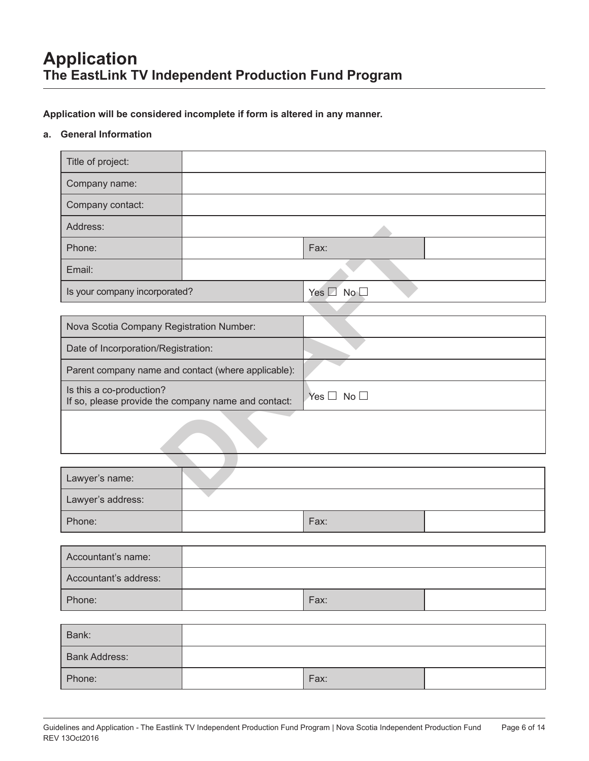**Application will be considered incomplete if form is altered in any manner.**

# **a. General Information**

| Title of project:                                                               |                             |
|---------------------------------------------------------------------------------|-----------------------------|
| Company name:                                                                   |                             |
| Company contact:                                                                |                             |
| Address:                                                                        |                             |
| Phone:                                                                          | Fax:                        |
| Email:                                                                          |                             |
| Is your company incorporated?                                                   | Yes <b>Z</b> No <del></del> |
|                                                                                 |                             |
| Nova Scotia Company Registration Number:                                        |                             |
| Date of Incorporation/Registration:                                             |                             |
| Parent company name and contact (where applicable):                             |                             |
| Is this a co-production?<br>If so, please provide the company name and contact: | Yes $\Box$ No $\Box$        |
|                                                                                 |                             |
|                                                                                 |                             |
| Lawyer's name:                                                                  |                             |
| Lawyer's address:                                                               |                             |
| Phone:                                                                          | Fax:                        |
|                                                                                 |                             |
| Accountant's name:                                                              |                             |
| Accountant's address:                                                           |                             |
| Phone:                                                                          | Fax:                        |
|                                                                                 |                             |

| Bank:                |      |  |
|----------------------|------|--|
| <b>Bank Address:</b> |      |  |
| Phone:               | Fax: |  |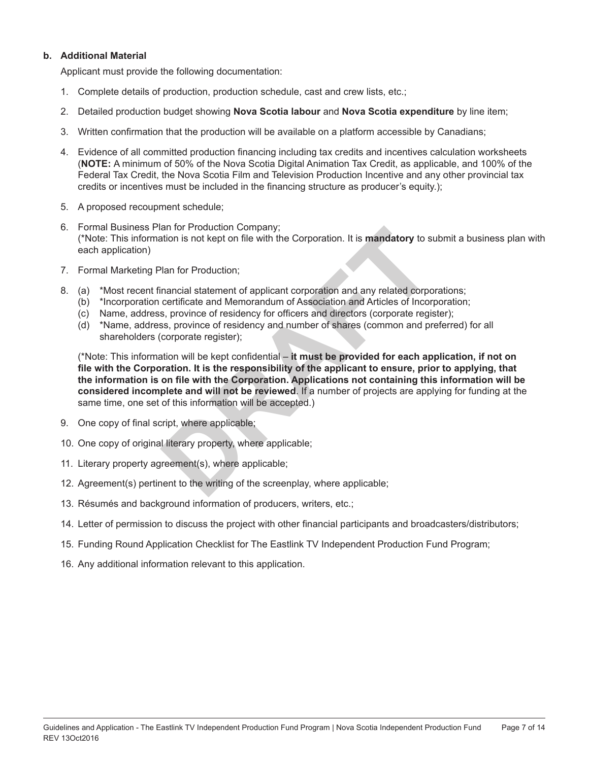#### **b. Additional Material**

Applicant must provide the following documentation:

- 1. Complete details of production, production schedule, cast and crew lists, etc.;
- 2. Detailed production budget showing **Nova Scotia labour** and **Nova Scotia expenditure** by line item;
- 3. Written confirmation that the production will be available on a platform accessible by Canadians;
- 4. Evidence of all committed production financing including tax credits and incentives calculation worksheets (**NOTE:** A minimum of 50% of the Nova Scotia Digital Animation Tax Credit, as applicable, and 100% of the Federal Tax Credit, the Nova Scotia Film and Television Production Incentive and any other provincial tax credits or incentives must be included in the financing structure as producer's equity.);
- 5. A proposed recoupment schedule;
- 6. Formal Business Plan for Production Company; (\*Note: This information is not kept on file with the Corporation. It is **mandatory** to submit a business plan with each application)
- 7. Formal Marketing Plan for Production;
- 8. (a) \*Most recent financial statement of applicant corporation and any related corporations;
	- (b) \*Incorporation certificate and Memorandum of Association and Articles of Incorporation;
	- (c) Name, address, province of residency for officers and directors (corporate register);
	- (d) \*Name, address, province of residency and number of shares (common and preferred) for all shareholders (corporate register);

an for Production Company;<br>tition is not kept on file with the Corporation. It is **mandatory** to s<br>Plan for Production;<br>inancial statement of applicant corporation and any related corpc<br>certificate and Memorandum of Associ (\*Note: This information will be kept confidential – **it must be provided for each application, if not on file with the Corporation. It is the responsibility of the applicant to ensure, prior to applying, that the information is on file with the Corporation. Applications not containing this information will be considered incomplete and will not be reviewed**. If a number of projects are applying for funding at the same time, one set of this information will be accepted.)

- 9. One copy of final script, where applicable;
- 10. One copy of original literary property, where applicable;
- 11. Literary property agreement(s), where applicable;
- 12. Agreement(s) pertinent to the writing of the screenplay, where applicable;
- 13. Résumés and background information of producers, writers, etc.;
- 14. Letter of permission to discuss the project with other financial participants and broadcasters/distributors;
- 15. Funding Round Application Checklist for The Eastlink TV Independent Production Fund Program;
- 16. Any additional information relevant to this application.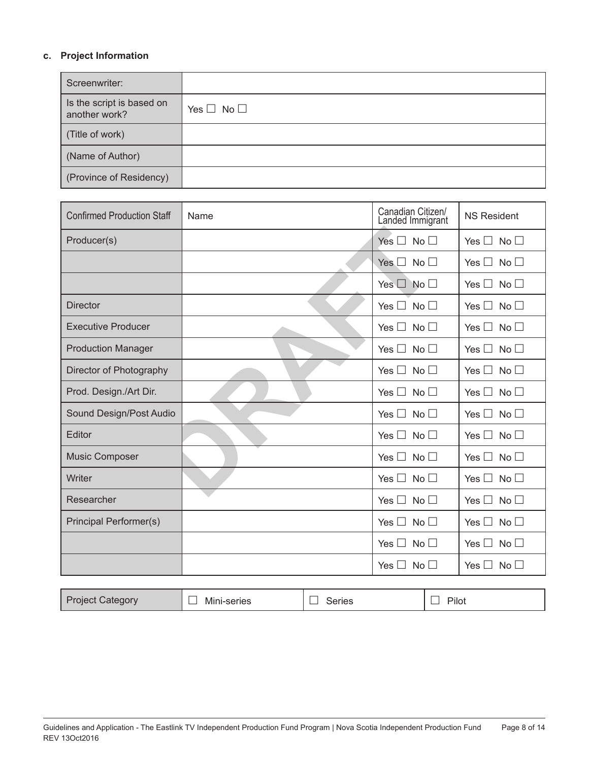# **c. Project Information**

| Screenwriter:                              |                      |
|--------------------------------------------|----------------------|
| Is the script is based on<br>another work? | Yes $\Box$ No $\Box$ |
| (Title of work)                            |                      |
| (Name of Author)                           |                      |
| (Province of Residency)                    |                      |

| <b>Confirmed Production Staff</b> | Name | Canadian Citizen/<br>Landed Immigrant | <b>NS Resident</b>            |
|-----------------------------------|------|---------------------------------------|-------------------------------|
| Producer(s)                       |      | Yes $\Box$ No $\Box$                  | Yes $\Box$ No $\Box$          |
|                                   |      | Yes $\Box$ No $\Box$                  | Yes $\Box$ No $\Box$          |
|                                   |      | Yes $\square$<br>No <sup>2</sup>      | Yes $\Box$ No $\Box$          |
| <b>Director</b>                   |      | No $\Box$<br>Yes $\Box$               | Yes $\Box$ No $\Box$          |
| <b>Executive Producer</b>         |      | Yes $\Box$ No $\Box$                  | Yes $\Box$ No $\Box$          |
| <b>Production Manager</b>         |      | Yes $\Box$ No $\Box$                  | Yes $\Box$ No $\Box$          |
| Director of Photography           |      | Yes $\Box$ No $\Box$                  | No $\square$<br>Yes $\Box$    |
| Prod. Design./Art Dir.            |      | Yes $\Box$ No $\Box$                  | Yes $\Box$ No $\Box$          |
| Sound Design/Post Audio           |      | Yes $\Box$ No $\Box$                  | Yes $\Box$ No $\Box$          |
| Editor                            |      | Yes $\Box$<br>No $\square$            | No $\square$<br>Yes $\Box$    |
| <b>Music Composer</b>             |      | Yes $\Box$ No $\Box$                  | No $\Box$<br>Yes $\square$    |
| Writer                            |      | Yes $\Box$ No $\Box$                  | Yes $\Box$ No $\Box$          |
| Researcher                        |      | Yes $\Box$ No $\Box$                  | Yes $\Box$ No $\Box$          |
| Principal Performer(s)            |      | Yes $\Box$ No $\Box$                  | No <sub>1</sub><br>Yes $\Box$ |
|                                   |      | Yes $\Box$<br>No $\square$            | No <sub>1</sub><br>Yes $\Box$ |
|                                   |      | Yes $\Box$<br>No <sub>1</sub>         | No <sub>1</sub><br>Yes $\Box$ |

| <b>Project Category</b> | Mini-series | Series | Pilot |
|-------------------------|-------------|--------|-------|
|-------------------------|-------------|--------|-------|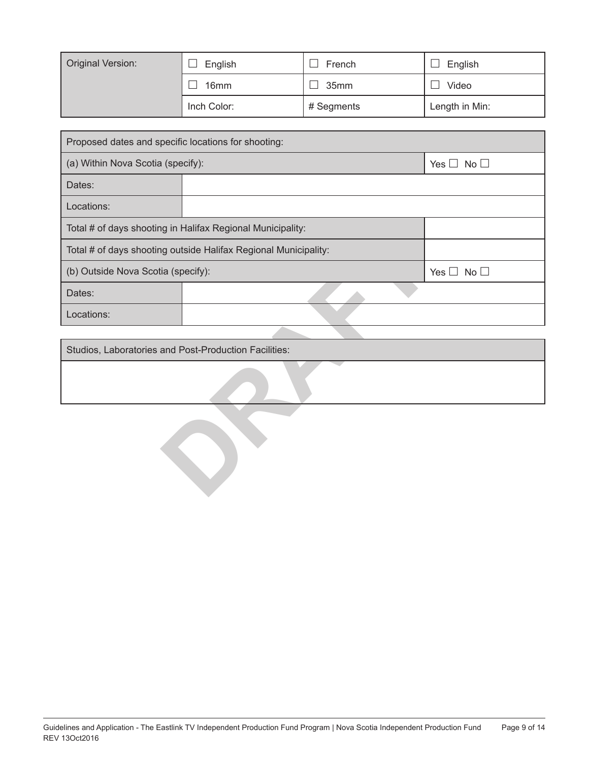| <b>Original Version:</b> | English          | French     | English        |
|--------------------------|------------------|------------|----------------|
|                          | 16 <sub>mm</sub> | 35mm       | Video          |
|                          | Inch Color:      | # Segments | Length in Min: |

| Proposed dates and specific locations for shooting:        |                                                                 |                      |
|------------------------------------------------------------|-----------------------------------------------------------------|----------------------|
| (a) Within Nova Scotia (specify):                          |                                                                 | Yes $\Box$ No $\Box$ |
| Dates:                                                     |                                                                 |                      |
| Locations:                                                 |                                                                 |                      |
|                                                            | Total # of days shooting in Halifax Regional Municipality:      |                      |
|                                                            | Total # of days shooting outside Halifax Regional Municipality: |                      |
| (b) Outside Nova Scotia (specify):<br>Yes $\Box$ No $\Box$ |                                                                 |                      |
| Dates:                                                     |                                                                 |                      |
| Locations:                                                 |                                                                 |                      |

| Studios, Laboratories and Post-Production Facilities: |
|-------------------------------------------------------|
|                                                       |
|                                                       |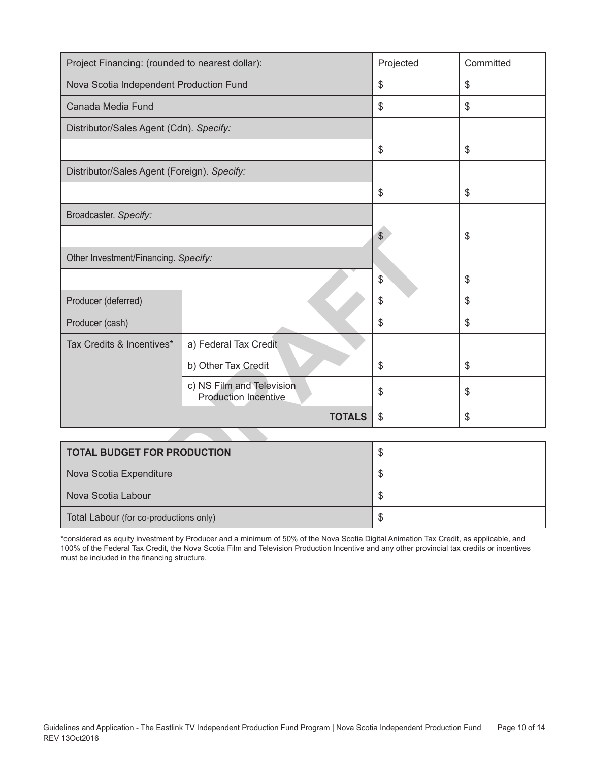| Project Financing: (rounded to nearest dollar): |                                                          | Projected    | Committed               |
|-------------------------------------------------|----------------------------------------------------------|--------------|-------------------------|
| Nova Scotia Independent Production Fund         |                                                          | \$           | $\sqrt[6]{\frac{1}{2}}$ |
| Canada Media Fund                               |                                                          | \$           | $\sqrt[6]{\frac{1}{2}}$ |
| Distributor/Sales Agent (Cdn). Specify:         |                                                          |              |                         |
|                                                 |                                                          | \$           | $\frac{1}{2}$           |
| Distributor/Sales Agent (Foreign). Specify:     |                                                          |              |                         |
|                                                 |                                                          | \$           | $\frac{1}{2}$           |
| Broadcaster. Specify:                           |                                                          |              |                         |
|                                                 |                                                          | $\mathbb{S}$ | $\sqrt[6]{\frac{1}{2}}$ |
| Other Investment/Financing. Specify:            |                                                          |              |                         |
|                                                 |                                                          | \$           | $\frac{1}{2}$           |
| Producer (deferred)                             |                                                          | \$           | $\mathcal{S}$           |
| Producer (cash)                                 |                                                          | \$           | $\sqrt[6]{\frac{1}{2}}$ |
| Tax Credits & Incentives*                       | a) Federal Tax Credit                                    |              |                         |
|                                                 | b) Other Tax Credit                                      | \$           | $\mathcal{S}$           |
|                                                 | c) NS Film and Television<br><b>Production Incentive</b> | \$           | $\$\$                   |
| <b>TOTALS</b>                                   |                                                          | \$           | $\frac{1}{2}$           |
|                                                 |                                                          |              |                         |
| <b>TOTAL BUDGET FOR PRODUCTION</b>              |                                                          | \$           |                         |
| Nova Scotia Expenditure                         |                                                          | \$           |                         |
| Nova Scotia Labour                              |                                                          | ፍ            |                         |

| <b>TOTAL BUDGET FOR PRODUCTION</b>     | D |
|----------------------------------------|---|
| Nova Scotia Expenditure                | S |
| Nova Scotia Labour                     | ന |
| Total Labour (for co-productions only) |   |

\*considered as equity investment by Producer and a minimum of 50% of the Nova Scotia Digital Animation Tax Credit, as applicable, and 100% of the Federal Tax Credit, the Nova Scotia Film and Television Production Incentive and any other provincial tax credits or incentives must be included in the financing structure.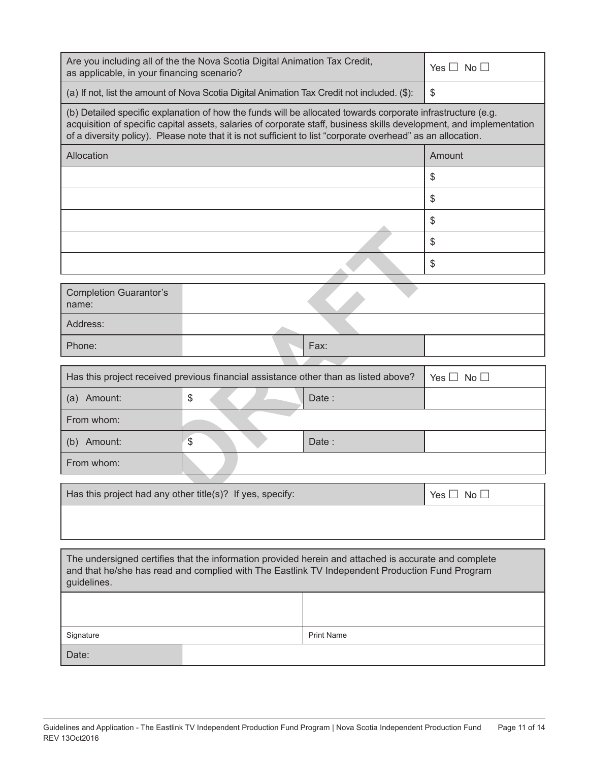| Are you including all of the the Nova Scotia Digital Animation Tax Credit,<br>as applicable, in your financing scenario?                                                                                              |                                                                                                                                                                                                                                                                                                                                                     |                      | Yes $\Box$ No $\Box$ |
|-----------------------------------------------------------------------------------------------------------------------------------------------------------------------------------------------------------------------|-----------------------------------------------------------------------------------------------------------------------------------------------------------------------------------------------------------------------------------------------------------------------------------------------------------------------------------------------------|----------------------|----------------------|
|                                                                                                                                                                                                                       | (a) If not, list the amount of Nova Scotia Digital Animation Tax Credit not included. (\$):                                                                                                                                                                                                                                                         |                      | \$                   |
|                                                                                                                                                                                                                       | (b) Detailed specific explanation of how the funds will be allocated towards corporate infrastructure (e.g.<br>acquisition of specific capital assets, salaries of corporate staff, business skills development, and implementation<br>of a diversity policy). Please note that it is not sufficient to list "corporate overhead" as an allocation. |                      |                      |
| Allocation                                                                                                                                                                                                            |                                                                                                                                                                                                                                                                                                                                                     |                      | Amount               |
|                                                                                                                                                                                                                       |                                                                                                                                                                                                                                                                                                                                                     | \$                   |                      |
|                                                                                                                                                                                                                       |                                                                                                                                                                                                                                                                                                                                                     |                      | \$                   |
|                                                                                                                                                                                                                       |                                                                                                                                                                                                                                                                                                                                                     |                      | \$                   |
|                                                                                                                                                                                                                       |                                                                                                                                                                                                                                                                                                                                                     |                      | \$                   |
|                                                                                                                                                                                                                       |                                                                                                                                                                                                                                                                                                                                                     |                      | \$                   |
| <b>Completion Guarantor's</b><br>name:                                                                                                                                                                                |                                                                                                                                                                                                                                                                                                                                                     |                      |                      |
| Address:                                                                                                                                                                                                              |                                                                                                                                                                                                                                                                                                                                                     |                      |                      |
| Phone:                                                                                                                                                                                                                |                                                                                                                                                                                                                                                                                                                                                     | Fax:                 |                      |
|                                                                                                                                                                                                                       | Has this project received previous financial assistance other than as listed above?                                                                                                                                                                                                                                                                 |                      | Yes $\Box$ No $\Box$ |
|                                                                                                                                                                                                                       |                                                                                                                                                                                                                                                                                                                                                     |                      |                      |
| (a) Amount:                                                                                                                                                                                                           | \$                                                                                                                                                                                                                                                                                                                                                  | Date:                |                      |
| From whom:                                                                                                                                                                                                            |                                                                                                                                                                                                                                                                                                                                                     |                      |                      |
| (b) Amount:                                                                                                                                                                                                           | $\mathcal{S}$                                                                                                                                                                                                                                                                                                                                       | Date:                |                      |
| From whom:                                                                                                                                                                                                            |                                                                                                                                                                                                                                                                                                                                                     |                      |                      |
| Has this project had any other title(s)? If yes, specify:                                                                                                                                                             |                                                                                                                                                                                                                                                                                                                                                     | Yes $\Box$ No $\Box$ |                      |
|                                                                                                                                                                                                                       |                                                                                                                                                                                                                                                                                                                                                     |                      |                      |
| The undersigned certifies that the information provided herein and attached is accurate and complete<br>and that he/she has read and complied with The Eastlink TV Independent Production Fund Program<br>guidelines. |                                                                                                                                                                                                                                                                                                                                                     |                      |                      |
|                                                                                                                                                                                                                       |                                                                                                                                                                                                                                                                                                                                                     |                      |                      |
| Signature                                                                                                                                                                                                             |                                                                                                                                                                                                                                                                                                                                                     | <b>Print Name</b>    |                      |
| Date:                                                                                                                                                                                                                 |                                                                                                                                                                                                                                                                                                                                                     |                      |                      |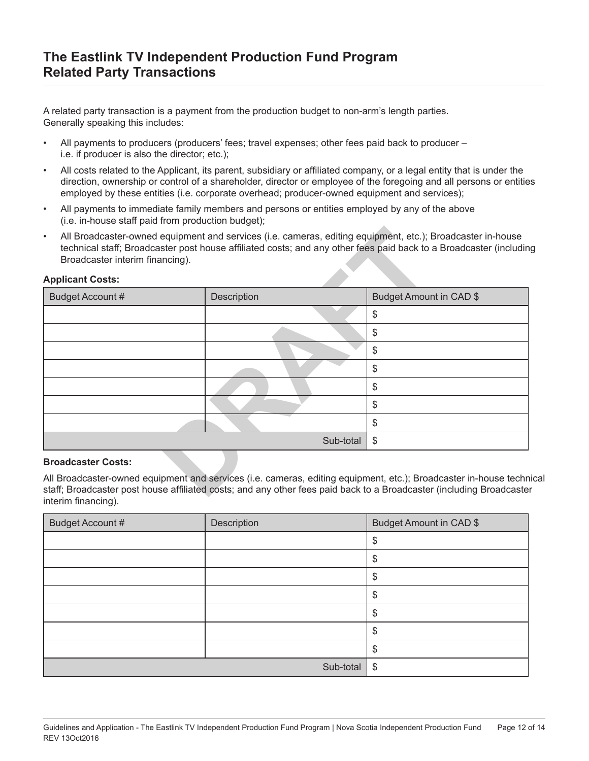A related party transaction is a payment from the production budget to non-arm's length parties. Generally speaking this includes:

- All payments to producers (producers' fees; travel expenses; other fees paid back to producer i.e. if producer is also the director; etc.);
- All costs related to the Applicant, its parent, subsidiary or affiliated company, or a legal entity that is under the direction, ownership or control of a shareholder, director or employee of the foregoing and all persons or entities employed by these entities (i.e. corporate overhead; producer-owned equipment and services);
- All payments to immediate family members and persons or entities employed by any of the above (i.e. in-house staff paid from production budget);
- All Broadcaster-owned equipment and services (i.e. cameras, editing equipment, etc.); Broadcaster in-house technical staff; Broadcaster post house affiliated costs; and any other fees paid back to a Broadcaster (including Broadcaster interim financing).

| Budget Account #<br>Description<br>Budget Amount in CAD \$<br>S<br>S<br>S<br>\$<br>\$<br>\$<br>\$<br>Sub-total<br>S | <b>Applicant Costs:</b> |                                                                                                                                                                                                                                         |  |
|---------------------------------------------------------------------------------------------------------------------|-------------------------|-----------------------------------------------------------------------------------------------------------------------------------------------------------------------------------------------------------------------------------------|--|
|                                                                                                                     |                         |                                                                                                                                                                                                                                         |  |
|                                                                                                                     |                         |                                                                                                                                                                                                                                         |  |
|                                                                                                                     |                         |                                                                                                                                                                                                                                         |  |
|                                                                                                                     |                         |                                                                                                                                                                                                                                         |  |
|                                                                                                                     |                         |                                                                                                                                                                                                                                         |  |
|                                                                                                                     |                         |                                                                                                                                                                                                                                         |  |
|                                                                                                                     |                         |                                                                                                                                                                                                                                         |  |
|                                                                                                                     |                         |                                                                                                                                                                                                                                         |  |
|                                                                                                                     |                         |                                                                                                                                                                                                                                         |  |
|                                                                                                                     |                         | All Broadcaster-owned equipment and services (i.e. cameras, editing equipment, etc.); Broadcaster in-house techr<br>staff; Broadcaster post house affiliated costs; and any other fees paid back to a Broadcaster (including Broadcaste |  |

## **Applicant Costs:**

#### **Broadcaster Costs:**

All Broadcaster-owned equipment and services (i.e. cameras, editing equipment, etc.); Broadcaster in-house technical staff; Broadcaster post house affiliated costs; and any other fees paid back to a Broadcaster (including Broadcaster interim financing).

| Budget Account # | Description | Budget Amount in CAD \$ |
|------------------|-------------|-------------------------|
|                  |             | S                       |
|                  |             | \$                      |
|                  |             | \$                      |
|                  |             | \$                      |
|                  |             | \$                      |
|                  |             | \$                      |
|                  |             | \$                      |
| Sub-total        |             | $\frac{1}{2}$           |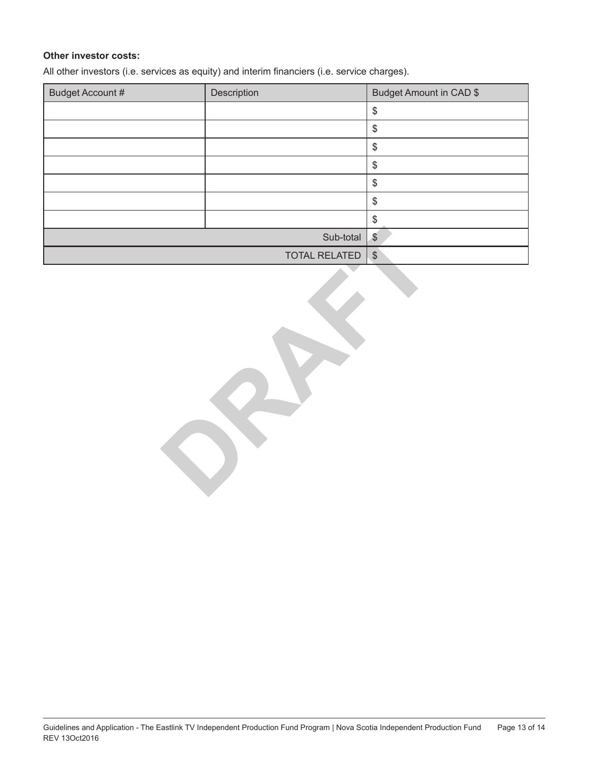#### **Other investor costs:**

All other investors (i.e. services as equity) and interim financiers (i.e. service charges).

| Budget Account #     | Description | Budget Amount in CAD \$ |
|----------------------|-------------|-------------------------|
|                      |             | \$                      |
|                      |             | \$                      |
|                      |             | \$                      |
|                      |             | \$                      |
|                      |             | \$                      |
|                      |             | \$                      |
|                      |             | \$                      |
| Sub-total            |             | $\mathcal{F}$           |
| <b>TOTAL RELATED</b> |             | $\$\$                   |

**DRAFT**